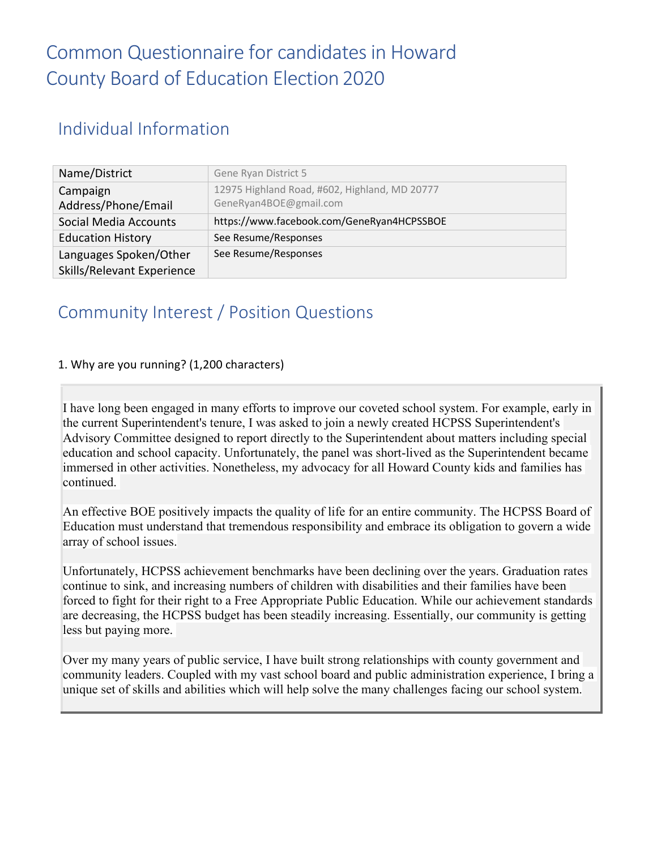#### Individual Information

| Name/District                                        | Gene Ryan District 5                                                    |
|------------------------------------------------------|-------------------------------------------------------------------------|
| Campaign<br>Address/Phone/Email                      | 12975 Highland Road, #602, Highland, MD 20777<br>GeneRyan4BOE@gmail.com |
| Social Media Accounts                                | https://www.facebook.com/GeneRyan4HCPSSBOE                              |
| <b>Education History</b>                             | See Resume/Responses                                                    |
| Languages Spoken/Other<br>Skills/Relevant Experience | See Resume/Responses                                                    |

#### Community Interest / Position Questions

#### 1. Why are you running? (1,200 characters)

I have long been engaged in many efforts to improve our coveted school system. For example, early in the current Superintendent's tenure, I was asked to join a newly created HCPSS Superintendent's Advisory Committee designed to report directly to the Superintendent about matters including special education and school capacity. Unfortunately, the panel was short-lived as the Superintendent became immersed in other activities. Nonetheless, my advocacy for all Howard County kids and families has continued.

An effective BOE positively impacts the quality of life for an entire community. The HCPSS Board of Education must understand that tremendous responsibility and embrace its obligation to govern a wide array of school issues.

Unfortunately, HCPSS achievement benchmarks have been declining over the years. Graduation rates continue to sink, and increasing numbers of children with disabilities and their families have been forced to fight for their right to a Free Appropriate Public Education. While our achievement standards are decreasing, the HCPSS budget has been steadily increasing. Essentially, our community is getting less but paying more.

Over my many years of public service, I have built strong relationships with county government and community leaders. Coupled with my vast school board and public administration experience, I bring a unique set of skills and abilities which will help solve the many challenges facing our school system.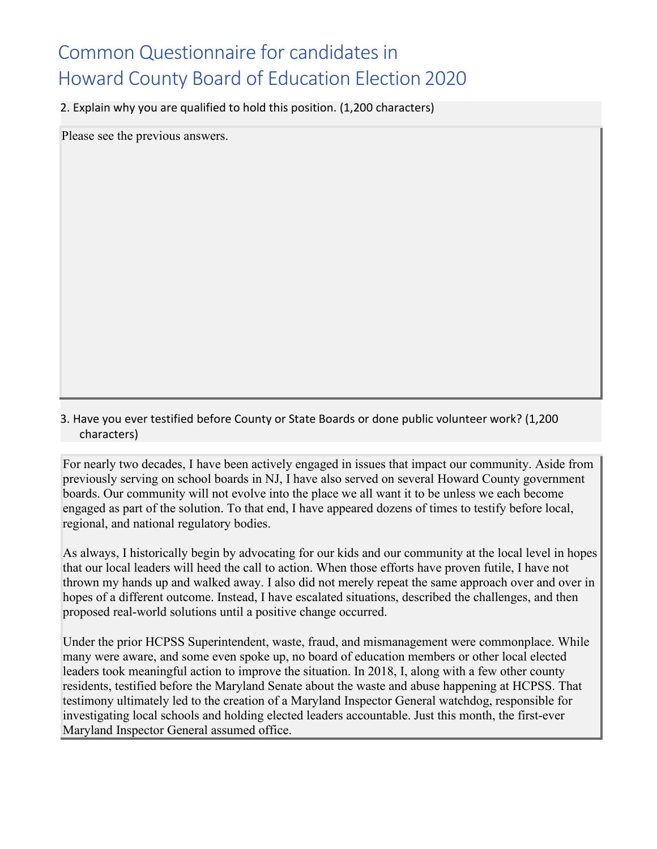2. Explain why you are qualified to hold this position. (1,200 characters)

Please see the previous answers.

3. Have you ever testified before County or State Boards or done public volunteer work? (1,200 characters)

For nearly two decades, I have been actively engaged in issues that impact our community. Aside from previously serving on school boards in NJ, I have also served on several Howard County government boards. Our community will not evolve into the place we all want it to be unless we each become engaged as part of the solution. To that end, I have appeared dozens of times to testify before local, regional, and national regulatory bodies.

As always, I historically begin by advocating for our kids and our community at the local level in hopes that our local leaders will heed the call to action. When those efforts have proven futile, I have not thrown my hands up and walked away. I also did not merely repeat the same approach over and over in hopes of a different outcome. Instead, I have escalated situations, described the challenges, and then proposed real-world solutions until a positive change occurred.

Under the prior HCPSS Superintendent, waste, fraud, and mismanagement were commonplace. While many were aware, and some even spoke up, no board of education members or other local elected leaders took meaningful action to improve the situation. In 2018, I, along with a few other county residents, testified before the Maryland Senate about the waste and abuse happening at HCPSS. That testimony ultimately led to the creation of a Maryland Inspector General watchdog, responsible for investigating local schools and holding elected leaders accountable. Just this month, the first-ever Maryland Inspector General assumed office.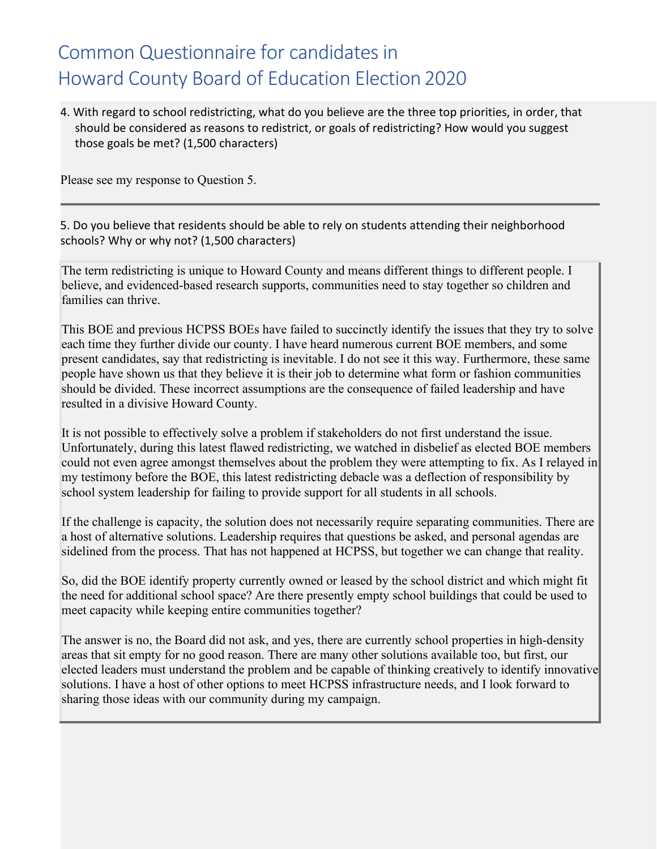4. With regard to school redistricting, what do you believe are the three top priorities, in order, that should be considered as reasons to redistrict, or goals of redistricting? How would you suggest those goals be met? (1,500 characters)

Please see my response to Question 5.

5. Do you believe that residents should be able to rely on students attending their neighborhood schools? Why or why not? (1,500 characters)

The term redistricting is unique to Howard County and means different things to different people. I believe, and evidenced-based research supports, communities need to stay together so children and families can thrive.

This BOE and previous HCPSS BOEs have failed to succinctly identify the issues that they try to solve each time they further divide our county. I have heard numerous current BOE members, and some present candidates, say that redistricting is inevitable. I do not see it this way. Furthermore, these same people have shown us that they believe it is their job to determine what form or fashion communities should be divided. These incorrect assumptions are the consequence of failed leadership and have resulted in a divisive Howard County.

It is not possible to effectively solve a problem if stakeholders do not first understand the issue. Unfortunately, during this latest flawed redistricting, we watched in disbelief as elected BOE members could not even agree amongst themselves about the problem they were attempting to fix. As I relayed in my testimony before the BOE, this latest redistricting debacle was a deflection of responsibility by school system leadership for failing to provide support for all students in all schools.

If the challenge is capacity, the solution does not necessarily require separating communities. There are a host of alternative solutions. Leadership requires that questions be asked, and personal agendas are sidelined from the process. That has not happened at HCPSS, but together we can change that reality.

So, did the BOE identify property currently owned or leased by the school district and which might fit the need for additional school space? Are there presently empty school buildings that could be used to meet capacity while keeping entire communities together?

The answer is no, the Board did not ask, and yes, there are currently school properties in high-density areas that sit empty for no good reason. There are many other solutions available too, but first, our elected leaders must understand the problem and be capable of thinking creatively to identify innovative solutions. I have a host of other options to meet HCPSS infrastructure needs, and I look forward to sharing those ideas with our community during my campaign.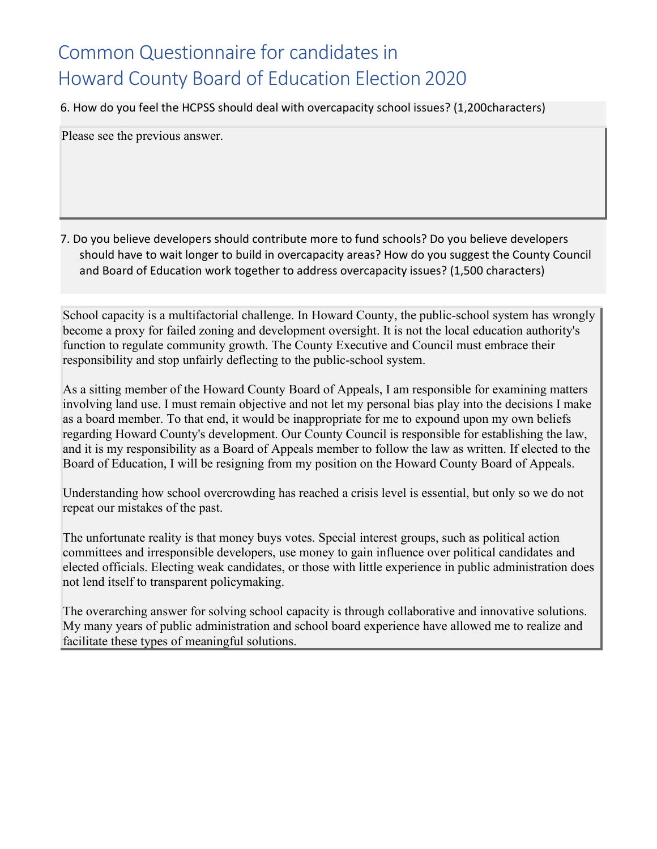6. How do you feel the HCPSS should deal with overcapacity school issues? (1,200characters)

Please see the previous answer.

7. Do you believe developers should contribute more to fund schools? Do you believe developers should have to wait longer to build in overcapacity areas? How do you suggest the County Council and Board of Education work together to address overcapacity issues? (1,500 characters)

School capacity is a multifactorial challenge. In Howard County, the public-school system has wrongly become a proxy for failed zoning and development oversight. It is not the local education authority's function to regulate community growth. The County Executive and Council must embrace their responsibility and stop unfairly deflecting to the public-school system.

As a sitting member of the Howard County Board of Appeals, I am responsible for examining matters involving land use. I must remain objective and not let my personal bias play into the decisions I make as a board member. To that end, it would be inappropriate for me to expound upon my own beliefs regarding Howard County's development. Our County Council is responsible for establishing the law, and it is my responsibility as a Board of Appeals member to follow the law as written. If elected to the Board of Education, I will be resigning from my position on the Howard County Board of Appeals.

Understanding how school overcrowding has reached a crisis level is essential, but only so we do not repeat our mistakes of the past.

The unfortunate reality is that money buys votes. Special interest groups, such as political action committees and irresponsible developers, use money to gain influence over political candidates and elected officials. Electing weak candidates, or those with little experience in public administration does not lend itself to transparent policymaking.

The overarching answer for solving school capacity is through collaborative and innovative solutions. My many years of public administration and school board experience have allowed me to realize and facilitate these types of meaningful solutions.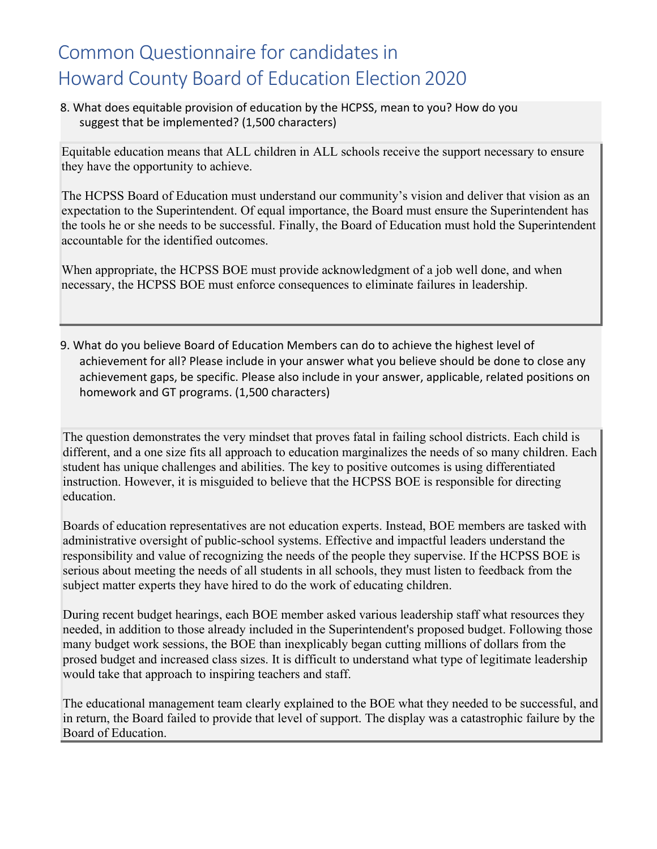8. What does equitable provision of education by the HCPSS, mean to you? How do you suggest that be implemented? (1,500 characters)

Equitable education means that ALL children in ALL schools receive the support necessary to ensure they have the opportunity to achieve.

The HCPSS Board of Education must understand our community's vision and deliver that vision as an expectation to the Superintendent. Of equal importance, the Board must ensure the Superintendent has the tools he or she needs to be successful. Finally, the Board of Education must hold the Superintendent accountable for the identified outcomes.

When appropriate, the HCPSS BOE must provide acknowledgment of a job well done, and when necessary, the HCPSS BOE must enforce consequences to eliminate failures in leadership.

9. What do you believe Board of Education Members can do to achieve the highest level of achievement for all? Please include in your answer what you believe should be done to close any achievement gaps, be specific. Please also include in your answer, applicable, related positions on homework and GT programs. (1,500 characters)

The question demonstrates the very mindset that proves fatal in failing school districts. Each child is different, and a one size fits all approach to education marginalizes the needs of so many children. Each student has unique challenges and abilities. The key to positive outcomes is using differentiated instruction. However, it is misguided to believe that the HCPSS BOE is responsible for directing education.

Boards of education representatives are not education experts. Instead, BOE members are tasked with administrative oversight of public-school systems. Effective and impactful leaders understand the responsibility and value of recognizing the needs of the people they supervise. If the HCPSS BOE is serious about meeting the needs of all students in all schools, they must listen to feedback from the subject matter experts they have hired to do the work of educating children.

During recent budget hearings, each BOE member asked various leadership staff what resources they needed, in addition to those already included in the Superintendent's proposed budget. Following those many budget work sessions, the BOE than inexplicably began cutting millions of dollars from the prosed budget and increased class sizes. It is difficult to understand what type of legitimate leadership would take that approach to inspiring teachers and staff.

The educational management team clearly explained to the BOE what they needed to be successful, and in return, the Board failed to provide that level of support. The display was a catastrophic failure by the Board of Education.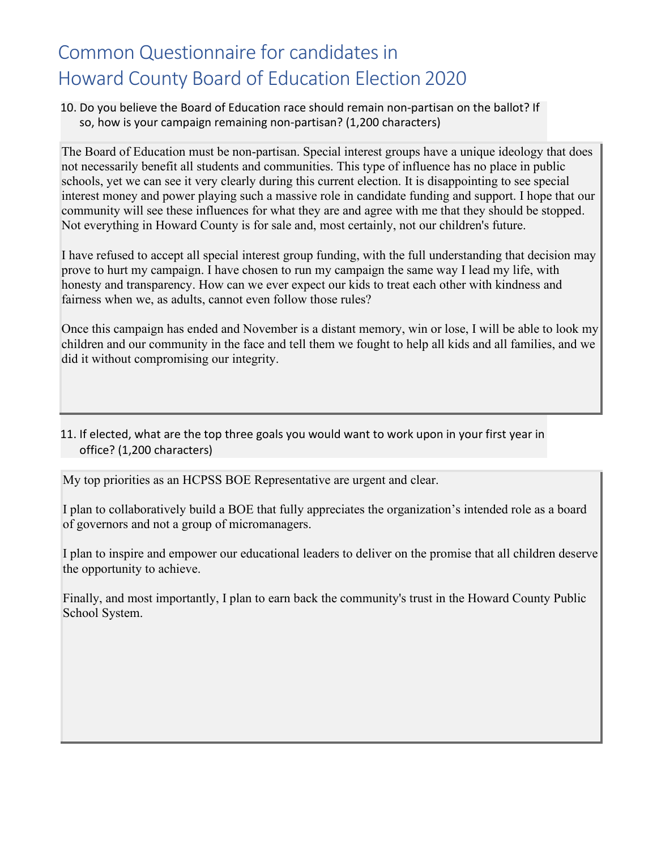10. Do you believe the Board of Education race should remain non-partisan on the ballot? If so, how is your campaign remaining non-partisan? (1,200 characters)

The Board of Education must be non-partisan. Special interest groups have a unique ideology that does not necessarily benefit all students and communities. This type of influence has no place in public schools, yet we can see it very clearly during this current election. It is disappointing to see special interest money and power playing such a massive role in candidate funding and support. I hope that our community will see these influences for what they are and agree with me that they should be stopped. Not everything in Howard County is for sale and, most certainly, not our children's future.

I have refused to accept all special interest group funding, with the full understanding that decision may prove to hurt my campaign. I have chosen to run my campaign the same way I lead my life, with honesty and transparency. How can we ever expect our kids to treat each other with kindness and fairness when we, as adults, cannot even follow those rules?

Once this campaign has ended and November is a distant memory, win or lose, I will be able to look my children and our community in the face and tell them we fought to help all kids and all families, and we did it without compromising our integrity.

11. If elected, what are the top three goals you would want to work upon in your first year in office? (1,200 characters)

My top priorities as an HCPSS BOE Representative are urgent and clear.

I plan to collaboratively build a BOE that fully appreciates the organization's intended role as a board of governors and not a group of micromanagers.

I plan to inspire and empower our educational leaders to deliver on the promise that all children deserve the opportunity to achieve.

Finally, and most importantly, I plan to earn back the community's trust in the Howard County Public School System.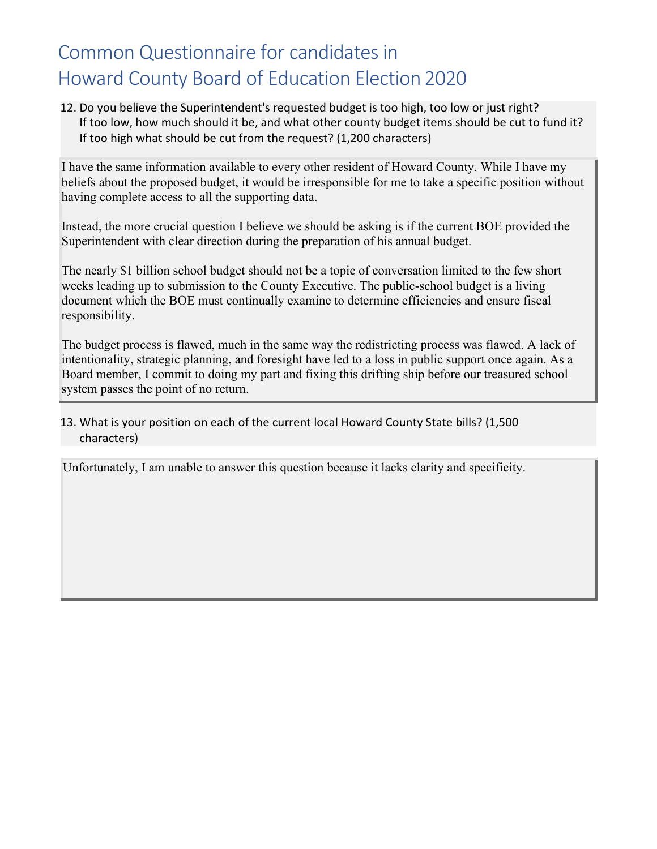12. Do you believe the Superintendent's requested budget is too high, too low or just right? If too low, how much should it be, and what other county budget items should be cut to fund it? If too high what should be cut from the request? (1,200 characters)

I have the same information available to every other resident of Howard County. While I have my beliefs about the proposed budget, it would be irresponsible for me to take a specific position without having complete access to all the supporting data.

Instead, the more crucial question I believe we should be asking is if the current BOE provided the Superintendent with clear direction during the preparation of his annual budget.

The nearly \$1 billion school budget should not be a topic of conversation limited to the few short weeks leading up to submission to the County Executive. The public-school budget is a living document which the BOE must continually examine to determine efficiencies and ensure fiscal responsibility.

The budget process is flawed, much in the same way the redistricting process was flawed. A lack of intentionality, strategic planning, and foresight have led to a loss in public support once again. As a Board member, I commit to doing my part and fixing this drifting ship before our treasured school system passes the point of no return.

#### 13. What is your position on each of the current local Howard County State bills? (1,500 characters)

Unfortunately, I am unable to answer this question because it lacks clarity and specificity.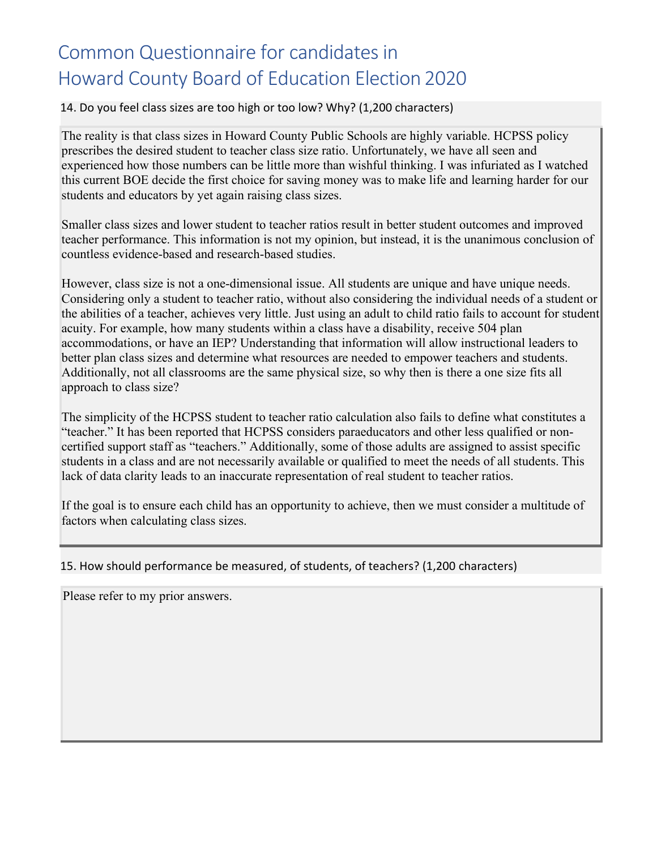#### 14. Do you feel class sizes are too high or too low? Why? (1,200 characters)

The reality is that class sizes in Howard County Public Schools are highly variable. HCPSS policy prescribes the desired student to teacher class size ratio. Unfortunately, we have all seen and experienced how those numbers can be little more than wishful thinking. I was infuriated as I watched this current BOE decide the first choice for saving money was to make life and learning harder for our students and educators by yet again raising class sizes.

Smaller class sizes and lower student to teacher ratios result in better student outcomes and improved teacher performance. This information is not my opinion, but instead, it is the unanimous conclusion of countless evidence-based and research-based studies.

However, class size is not a one-dimensional issue. All students are unique and have unique needs. Considering only a student to teacher ratio, without also considering the individual needs of a student or the abilities of a teacher, achieves very little. Just using an adult to child ratio fails to account for student acuity. For example, how many students within a class have a disability, receive 504 plan accommodations, or have an IEP? Understanding that information will allow instructional leaders to better plan class sizes and determine what resources are needed to empower teachers and students. Additionally, not all classrooms are the same physical size, so why then is there a one size fits all approach to class size?

The simplicity of the HCPSS student to teacher ratio calculation also fails to define what constitutes a "teacher." It has been reported that HCPSS considers paraeducators and other less qualified or noncertified support staff as "teachers." Additionally, some of those adults are assigned to assist specific students in a class and are not necessarily available or qualified to meet the needs of all students. This lack of data clarity leads to an inaccurate representation of real student to teacher ratios.

If the goal is to ensure each child has an opportunity to achieve, then we must consider a multitude of factors when calculating class sizes.

#### 15. How should performance be measured, of students, of teachers? (1,200 characters)

Please refer to my prior answers.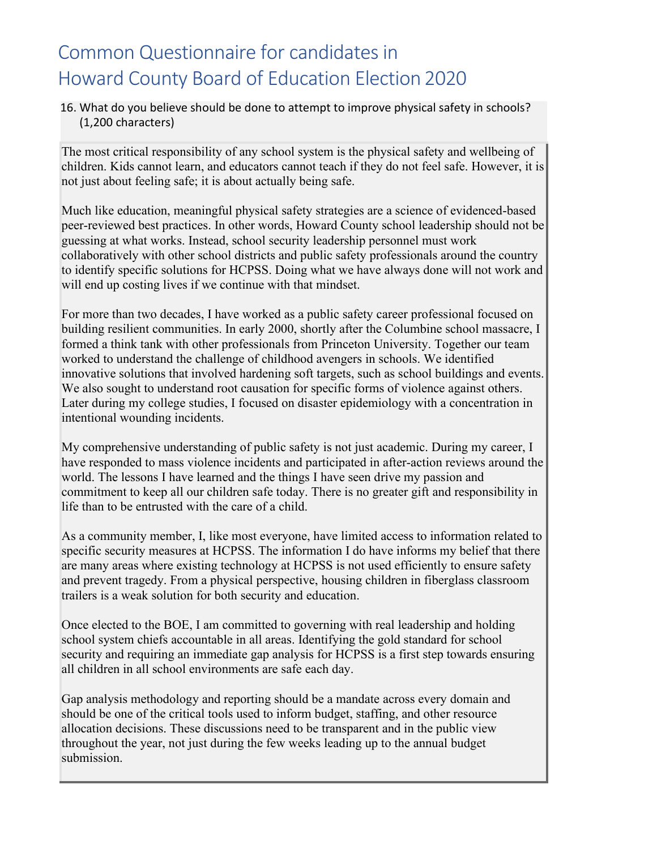#### 16. What do you believe should be done to attempt to improve physical safety in schools? (1,200 characters)

The most critical responsibility of any school system is the physical safety and wellbeing of children. Kids cannot learn, and educators cannot teach if they do not feel safe. However, it is not just about feeling safe; it is about actually being safe.

Much like education, meaningful physical safety strategies are a science of evidenced-based peer-reviewed best practices. In other words, Howard County school leadership should not be guessing at what works. Instead, school security leadership personnel must work collaboratively with other school districts and public safety professionals around the country to identify specific solutions for HCPSS. Doing what we have always done will not work and will end up costing lives if we continue with that mindset.

For more than two decades, I have worked as a public safety career professional focused on building resilient communities. In early 2000, shortly after the Columbine school massacre, I formed a think tank with other professionals from Princeton University. Together our team worked to understand the challenge of childhood avengers in schools. We identified innovative solutions that involved hardening soft targets, such as school buildings and events. We also sought to understand root causation for specific forms of violence against others. Later during my college studies, I focused on disaster epidemiology with a concentration in intentional wounding incidents.

My comprehensive understanding of public safety is not just academic. During my career, I have responded to mass violence incidents and participated in after-action reviews around the world. The lessons I have learned and the things I have seen drive my passion and commitment to keep all our children safe today. There is no greater gift and responsibility in life than to be entrusted with the care of a child.

As a community member, I, like most everyone, have limited access to information related to specific security measures at HCPSS. The information I do have informs my belief that there are many areas where existing technology at HCPSS is not used efficiently to ensure safety and prevent tragedy. From a physical perspective, housing children in fiberglass classroom trailers is a weak solution for both security and education.

Once elected to the BOE, I am committed to governing with real leadership and holding school system chiefs accountable in all areas. Identifying the gold standard for school security and requiring an immediate gap analysis for HCPSS is a first step towards ensuring all children in all school environments are safe each day.

Gap analysis methodology and reporting should be a mandate across every domain and should be one of the critical tools used to inform budget, staffing, and other resource allocation decisions. These discussions need to be transparent and in the public view throughout the year, not just during the few weeks leading up to the annual budget submission.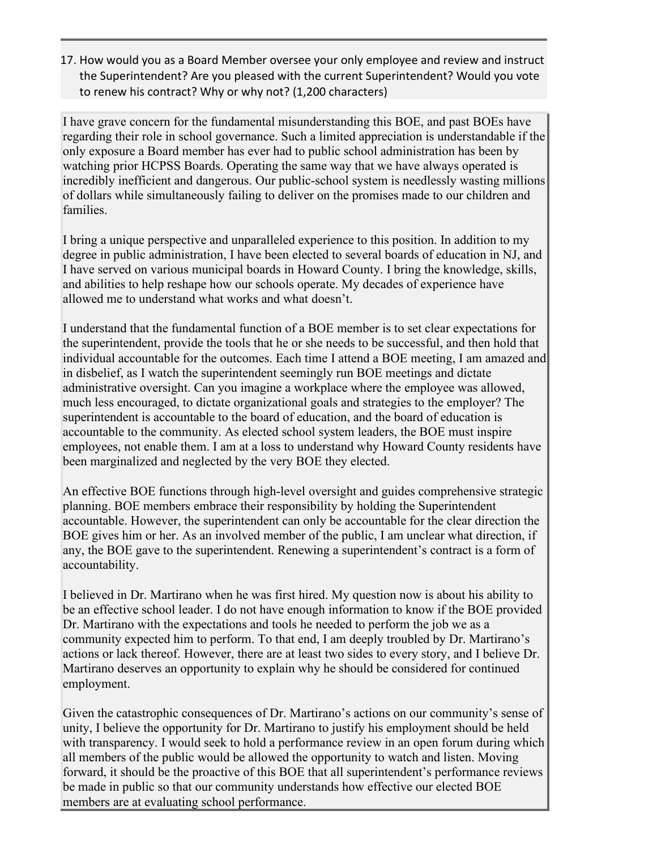17. How would you as a Board Member oversee your only employee and review and instruct the Superintendent? Are you pleased with the current Superintendent? Would you vote to renew his contract? Why or why not? (1,200 characters)

I have grave concern for the fundamental misunderstanding this BOE, and past BOEs have regarding their role in school governance. Such a limited appreciation is understandable if the only exposure a Board member has ever had to public school administration has been by watching prior HCPSS Boards. Operating the same way that we have always operated is incredibly inefficient and dangerous. Our public-school system is needlessly wasting millions of dollars while simultaneously failing to deliver on the promises made to our children and families.

I bring a unique perspective and unparalleled experience to this position. In addition to my degree in public administration, I have been elected to several boards of education in NJ, and I have served on various municipal boards in Howard County. I bring the knowledge, skills, and abilities to help reshape how our schools operate. My decades of experience have allowed me to understand what works and what doesn't.

I understand that the fundamental function of a BOE member is to set clear expectations for the superintendent, provide the tools that he or she needs to be successful, and then hold that individual accountable for the outcomes. Each time I attend a BOE meeting, I am amazed and in disbelief, as I watch the superintendent seemingly run BOE meetings and dictate administrative oversight. Can you imagine a workplace where the employee was allowed, much less encouraged, to dictate organizational goals and strategies to the employer? The superintendent is accountable to the board of education, and the board of education is accountable to the community. As elected school system leaders, the BOE must inspire employees, not enable them. I am at a loss to understand why Howard County residents have been marginalized and neglected by the very BOE they elected.

An effective BOE functions through high-level oversight and guides comprehensive strategic planning. BOE members embrace their responsibility by holding the Superintendent accountable. However, the superintendent can only be accountable for the clear direction the BOE gives him or her. As an involved member of the public, I am unclear what direction, if any, the BOE gave to the superintendent. Renewing a superintendent's contract is a form of accountability.

I believed in Dr. Martirano when he was first hired. My question now is about his ability to be an effective school leader. I do not have enough information to know if the BOE provided Dr. Martirano with the expectations and tools he needed to perform the job we as a community expected him to perform. To that end, I am deeply troubled by Dr. Martirano's actions or lack thereof. However, there are at least two sides to every story, and I believe Dr. Martirano deserves an opportunity to explain why he should be considered for continued employment.

Given the catastrophic consequences of Dr. Martirano's actions on our community's sense of unity, I believe the opportunity for Dr. Martirano to justify his employment should be held with transparency. I would seek to hold a performance review in an open forum during which all members of the public would be allowed the opportunity to watch and listen. Moving forward, it should be the proactive of this BOE that all superintendent's performance reviews be made in public so that our community understands how effective our elected BOE members are at evaluating school performance.